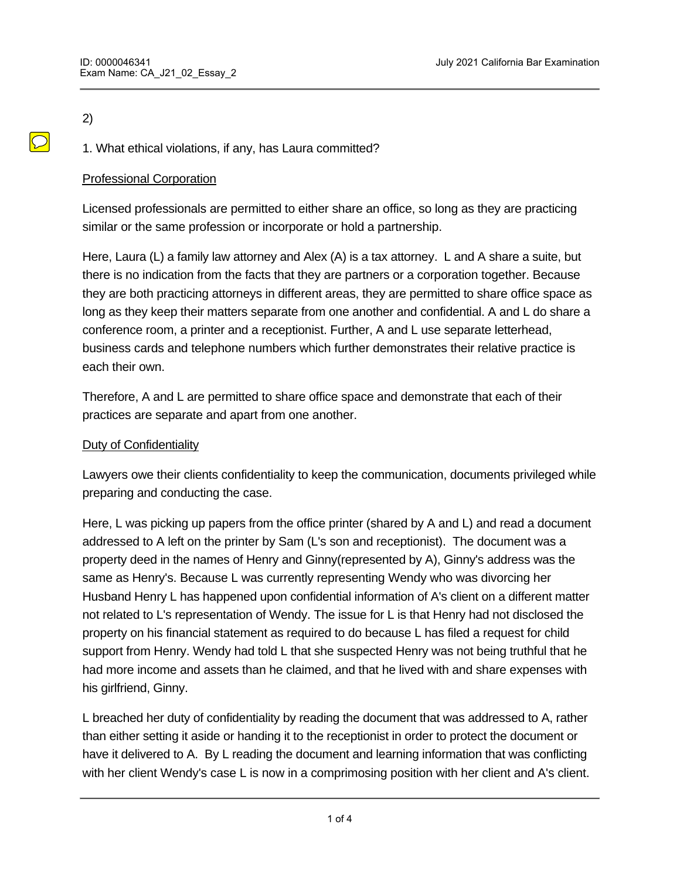# 2)

1. What ethical violations, if any, has Laura committed?

# Professional Corporation

Licensed professionals are permitted to either share an office, so long as they are practicing similar or the same profession or incorporate or hold a partnership.

Here, Laura (L) a family law attorney and Alex (A) is a tax attorney. L and A share a suite, but there is no indication from the facts that they are partners or a corporation together. Because they are both practicing attorneys in different areas, they are permitted to share office space as long as they keep their matters separate from one another and confidential. A and L do share a conference room, a printer and a receptionist. Further, A and L use separate letterhead, business cards and telephone numbers which further demonstrates their relative practice is each their own.

Therefore, A and L are permitted to share office space and demonstrate that each of their practices are separate and apart from one another.

## Duty of Confidentiality

Lawyers owe their clients confidentiality to keep the communication, documents privileged while preparing and conducting the case.

Here, L was picking up papers from the office printer (shared by A and L) and read a document addressed to A left on the printer by Sam (L's son and receptionist). The document was a property deed in the names of Henry and Ginny(represented by A), Ginny's address was the same as Henry's. Because L was currently representing Wendy who was divorcing her Husband Henry L has happened upon confidential information of A's client on a different matter not related to L's representation of Wendy. The issue for L is that Henry had not disclosed the property on his financial statement as required to do because L has filed a request for child support from Henry. Wendy had told L that she suspected Henry was not being truthful that he had more income and assets than he claimed, and that he lived with and share expenses with his girlfriend, Ginny.

L breached her duty of confidentiality by reading the document that was addressed to A, rather than either setting it aside or handing it to the receptionist in order to protect the document or have it delivered to A. By L reading the document and learning information that was conflicting with her client Wendy's case L is now in a comprimosing position with her client and A's client.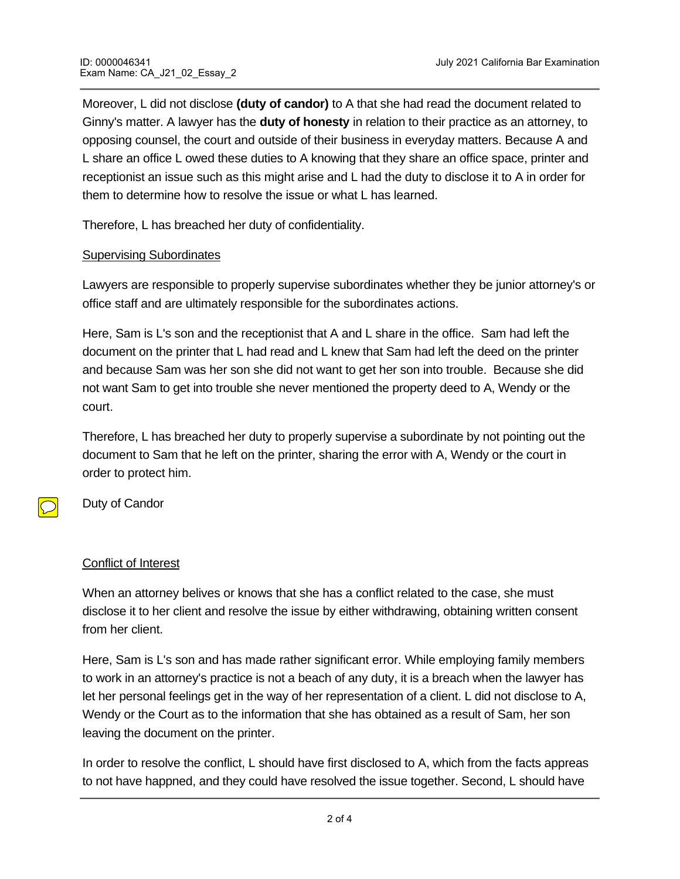Moreover, L did not disclose **(duty of candor)** to A that she had read the document related to Ginny's matter. A lawyer has the **duty of honesty** in relation to their practice as an attorney, to opposing counsel, the court and outside of their business in everyday matters. Because A and L share an office L owed these duties to A knowing that they share an office space, printer and receptionist an issue such as this might arise and L had the duty to disclose it to A in order for them to determine how to resolve the issue or what L has learned.

Therefore, L has breached her duty of confidentiality.

#### **Supervising Subordinates**

Lawyers are responsible to properly supervise subordinates whether they be junior attorney's or office staff and are ultimately responsible for the subordinates actions.

Here, Sam is L's son and the receptionist that A and L share in the office. Sam had left the document on the printer that L had read and L knew that Sam had left the deed on the printer and because Sam was her son she did not want to get her son into trouble. Because she did not want Sam to get into trouble she never mentioned the property deed to A, Wendy or the court.

Therefore, L has breached her duty to properly supervise a subordinate by not pointing out the document to Sam that he left on the printer, sharing the error with A, Wendy or the court in order to protect him.

Duty of Candor

#### Conflict of Interest

When an attorney belives or knows that she has a conflict related to the case, she must disclose it to her client and resolve the issue by either withdrawing, obtaining written consent from her client.

Here, Sam is L's son and has made rather significant error. While employing family members to work in an attorney's practice is not a beach of any duty, it is a breach when the lawyer has let her personal feelings get in the way of her representation of a client. L did not disclose to A, Wendy or the Court as to the information that she has obtained as a result of Sam, her son leaving the document on the printer.

In order to resolve the conflict, L should have first disclosed to A, which from the facts appreas to not have happned, and they could have resolved the issue together. Second, L should have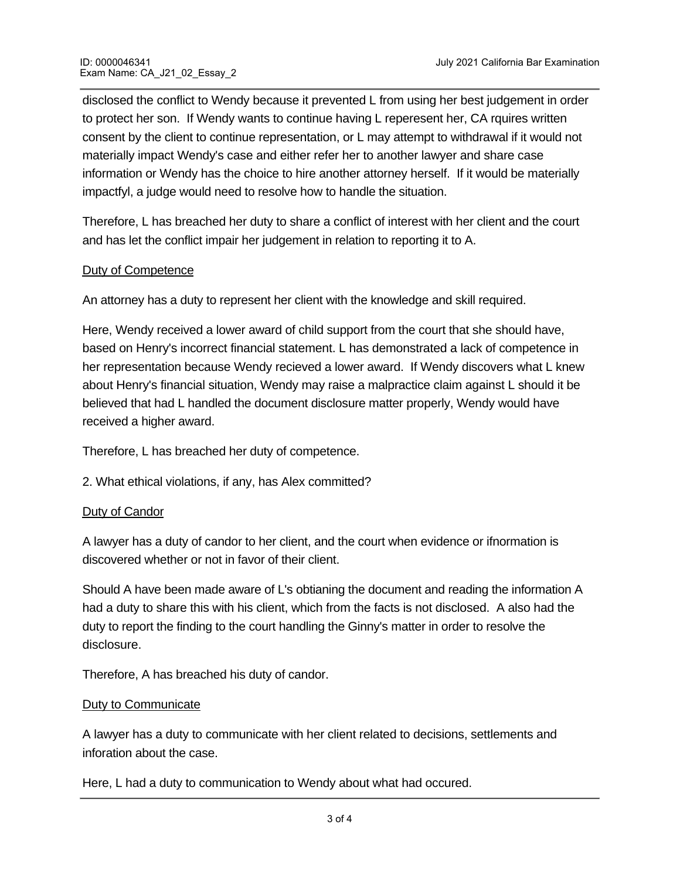disclosed the conflict to Wendy because it prevented L from using her best judgement in order to protect her son. If Wendy wants to continue having L reperesent her, CA rquires written consent by the client to continue representation, or L may attempt to withdrawal if it would not materially impact Wendy's case and either refer her to another lawyer and share case information or Wendy has the choice to hire another attorney herself. If it would be materially impactfyl, a judge would need to resolve how to handle the situation.

Therefore, L has breached her duty to share a conflict of interest with her client and the court and has let the conflict impair her judgement in relation to reporting it to A.

## Duty of Competence

An attorney has a duty to represent her client with the knowledge and skill required.

Here, Wendy received a lower award of child support from the court that she should have, based on Henry's incorrect financial statement. L has demonstrated a lack of competence in her representation because Wendy recieved a lower award. If Wendy discovers what L knew about Henry's financial situation, Wendy may raise a malpractice claim against L should it be believed that had L handled the document disclosure matter properly, Wendy would have received a higher award.

Therefore, L has breached her duty of competence.

2. What ethical violations, if any, has Alex committed?

#### Duty of Candor

A lawyer has a duty of candor to her client, and the court when evidence or ifnormation is discovered whether or not in favor of their client.

Should A have been made aware of L's obtianing the document and reading the information A had a duty to share this with his client, which from the facts is not disclosed. A also had the duty to report the finding to the court handling the Ginny's matter in order to resolve the disclosure.

Therefore, A has breached his duty of candor.

#### Duty to Communicate

A lawyer has a duty to communicate with her client related to decisions, settlements and inforation about the case.

Here, L had a duty to communication to Wendy about what had occured.